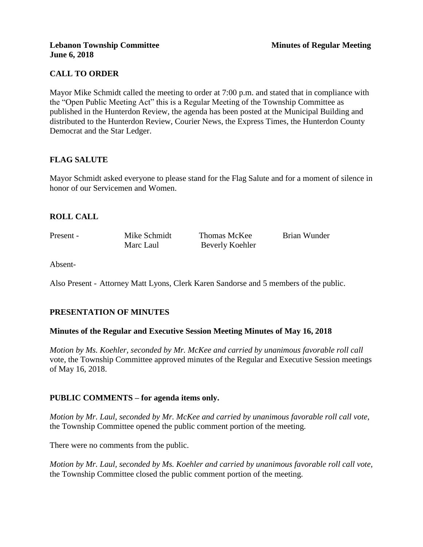## **CALL TO ORDER**

Mayor Mike Schmidt called the meeting to order at 7:00 p.m. and stated that in compliance with the "Open Public Meeting Act" this is a Regular Meeting of the Township Committee as published in the Hunterdon Review, the agenda has been posted at the Municipal Building and distributed to the Hunterdon Review, Courier News, the Express Times, the Hunterdon County Democrat and the Star Ledger.

## **FLAG SALUTE**

Mayor Schmidt asked everyone to please stand for the Flag Salute and for a moment of silence in honor of our Servicemen and Women.

## **ROLL CALL**

Present - Mike Schmidt Thomas McKee Brian Wunder Marc Laul Beverly Koehler

Absent-

Also Present - Attorney Matt Lyons, Clerk Karen Sandorse and 5 members of the public.

## **PRESENTATION OF MINUTES**

### **Minutes of the Regular and Executive Session Meeting Minutes of May 16, 2018**

*Motion by Ms. Koehler, seconded by Mr. McKee and carried by unanimous favorable roll call*  vote, the Township Committee approved minutes of the Regular and Executive Session meetings of May 16, 2018.

### **PUBLIC COMMENTS – for agenda items only.**

*Motion by Mr. Laul, seconded by Mr. McKee and carried by unanimous favorable roll call vote,*  the Township Committee opened the public comment portion of the meeting.

There were no comments from the public.

*Motion by Mr. Laul, seconded by Ms. Koehler and carried by unanimous favorable roll call vote,* the Township Committee closed the public comment portion of the meeting.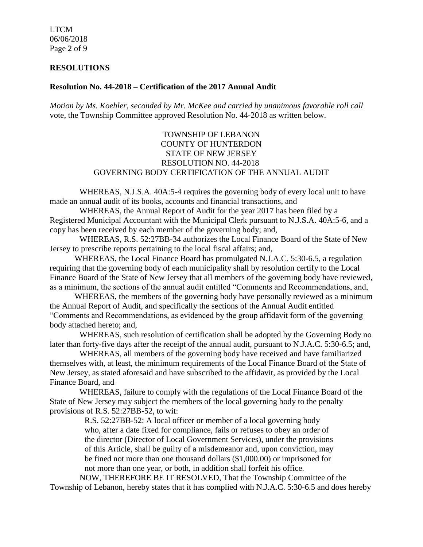LTCM 06/06/2018 Page 2 of 9

#### **RESOLUTIONS**

#### **Resolution No. 44-2018 – Certification of the 2017 Annual Audit**

*Motion by Ms. Koehler, seconded by Mr. McKee and carried by unanimous favorable roll call*  vote, the Township Committee approved Resolution No. 44-2018 as written below.

### TOWNSHIP OF LEBANON COUNTY OF HUNTERDON STATE OF NEW JERSEY RESOLUTION NO. 44-2018 GOVERNING BODY CERTIFICATION OF THE ANNUAL AUDIT

WHEREAS, N.J.S.A. 40A:5-4 requires the governing body of every local unit to have made an annual audit of its books, accounts and financial transactions, and

WHEREAS, the Annual Report of Audit for the year 2017 has been filed by a Registered Municipal Accountant with the Municipal Clerk pursuant to N.J.S.A. 40A:5-6, and a copy has been received by each member of the governing body; and,

WHEREAS, R.S. 52:27BB-34 authorizes the Local Finance Board of the State of New Jersey to prescribe reports pertaining to the local fiscal affairs; and,

WHEREAS, the Local Finance Board has promulgated N.J.A.C. 5:30-6.5, a regulation requiring that the governing body of each municipality shall by resolution certify to the Local Finance Board of the State of New Jersey that all members of the governing body have reviewed, as a minimum, the sections of the annual audit entitled "Comments and Recommendations, and,

WHEREAS, the members of the governing body have personally reviewed as a minimum the Annual Report of Audit, and specifically the sections of the Annual Audit entitled "Comments and Recommendations, as evidenced by the group affidavit form of the governing body attached hereto; and,

WHEREAS, such resolution of certification shall be adopted by the Governing Body no later than forty-five days after the receipt of the annual audit, pursuant to N.J.A.C. 5:30-6.5; and,

WHEREAS, all members of the governing body have received and have familiarized themselves with, at least, the minimum requirements of the Local Finance Board of the State of New Jersey, as stated aforesaid and have subscribed to the affidavit, as provided by the Local Finance Board, and

WHEREAS, failure to comply with the regulations of the Local Finance Board of the State of New Jersey may subject the members of the local governing body to the penalty provisions of R.S. 52:27BB-52, to wit:

> R.S. 52:27BB-52: A local officer or member of a local governing body who, after a date fixed for compliance, fails or refuses to obey an order of the director (Director of Local Government Services), under the provisions of this Article, shall be guilty of a misdemeanor and, upon conviction, may be fined not more than one thousand dollars (\$1,000.00) or imprisoned for not more than one year, or both, in addition shall forfeit his office.

NOW, THEREFORE BE IT RESOLVED, That the Township Committee of the Township of Lebanon, hereby states that it has complied with N.J.A.C. 5:30-6.5 and does hereby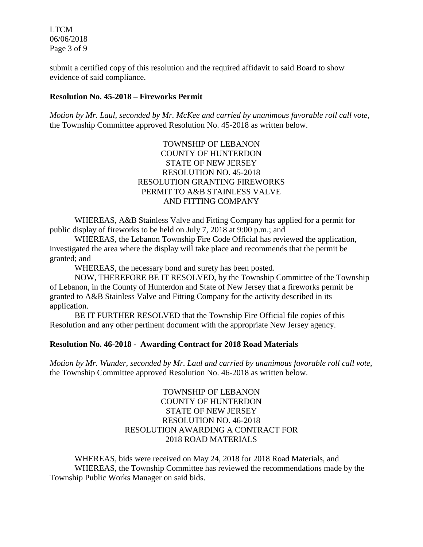LTCM 06/06/2018 Page 3 of 9

submit a certified copy of this resolution and the required affidavit to said Board to show evidence of said compliance.

#### **Resolution No. 45-2018 – Fireworks Permit**

*Motion by Mr. Laul, seconded by Mr. McKee and carried by unanimous favorable roll call vote,*  the Township Committee approved Resolution No. 45-2018 as written below.

> TOWNSHIP OF LEBANON COUNTY OF HUNTERDON STATE OF NEW JERSEY RESOLUTION NO. 45-2018 RESOLUTION GRANTING FIREWORKS PERMIT TO A&B STAINLESS VALVE AND FITTING COMPANY

WHEREAS, A&B Stainless Valve and Fitting Company has applied for a permit for public display of fireworks to be held on July 7, 2018 at 9:00 p.m.; and

WHEREAS, the Lebanon Township Fire Code Official has reviewed the application, investigated the area where the display will take place and recommends that the permit be granted; and

WHEREAS, the necessary bond and surety has been posted.

NOW, THEREFORE BE IT RESOLVED, by the Township Committee of the Township of Lebanon, in the County of Hunterdon and State of New Jersey that a fireworks permit be granted to A&B Stainless Valve and Fitting Company for the activity described in its application.

BE IT FURTHER RESOLVED that the Township Fire Official file copies of this Resolution and any other pertinent document with the appropriate New Jersey agency.

#### **Resolution No. 46-2018 - Awarding Contract for 2018 Road Materials**

*Motion by Mr. Wunder, seconded by Mr. Laul and carried by unanimous favorable roll call vote,*  the Township Committee approved Resolution No. 46-2018 as written below.

> TOWNSHIP OF LEBANON COUNTY OF HUNTERDON STATE OF NEW JERSEY RESOLUTION NO. 46-2018 RESOLUTION AWARDING A CONTRACT FOR 2018 ROAD MATERIALS

WHEREAS, bids were received on May 24, 2018 for 2018 Road Materials, and WHEREAS, the Township Committee has reviewed the recommendations made by the Township Public Works Manager on said bids.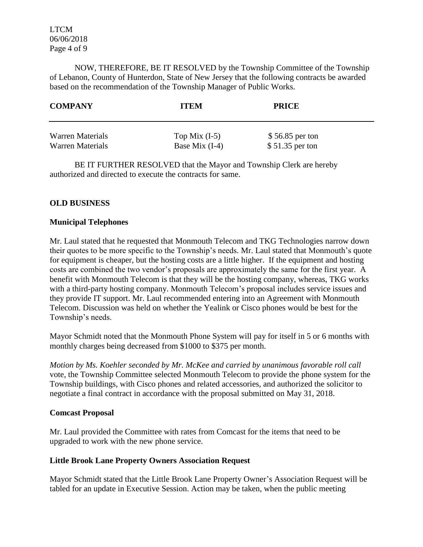LTCM 06/06/2018 Page 4 of 9

NOW, THEREFORE, BE IT RESOLVED by the Township Committee of the Township of Lebanon, County of Hunterdon, State of New Jersey that the following contracts be awarded based on the recommendation of the Township Manager of Public Works.

| <b>COMPANY</b>   | <b>ITEM</b>      | <b>PRICE</b>     |
|------------------|------------------|------------------|
| Warren Materials | Top Mix $(I-5)$  | \$56.85 per ton  |
| Warren Materials | Base Mix $(I-4)$ | $$51.35$ per ton |

BE IT FURTHER RESOLVED that the Mayor and Township Clerk are hereby authorized and directed to execute the contracts for same.

### **OLD BUSINESS**

### **Municipal Telephones**

Mr. Laul stated that he requested that Monmouth Telecom and TKG Technologies narrow down their quotes to be more specific to the Township's needs. Mr. Laul stated that Monmouth's quote for equipment is cheaper, but the hosting costs are a little higher. If the equipment and hosting costs are combined the two vendor's proposals are approximately the same for the first year. A benefit with Monmouth Telecom is that they will be the hosting company, whereas, TKG works with a third-party hosting company. Monmouth Telecom's proposal includes service issues and they provide IT support. Mr. Laul recommended entering into an Agreement with Monmouth Telecom. Discussion was held on whether the Yealink or Cisco phones would be best for the Township's needs.

Mayor Schmidt noted that the Monmouth Phone System will pay for itself in 5 or 6 months with monthly charges being decreased from \$1000 to \$375 per month.

*Motion by Ms. Koehler seconded by Mr. McKee and carried by unanimous favorable roll call*  vote, the Township Committee selected Monmouth Telecom to provide the phone system for the Township buildings, with Cisco phones and related accessories, and authorized the solicitor to negotiate a final contract in accordance with the proposal submitted on May 31, 2018.

### **Comcast Proposal**

Mr. Laul provided the Committee with rates from Comcast for the items that need to be upgraded to work with the new phone service.

### **Little Brook Lane Property Owners Association Request**

Mayor Schmidt stated that the Little Brook Lane Property Owner's Association Request will be tabled for an update in Executive Session. Action may be taken, when the public meeting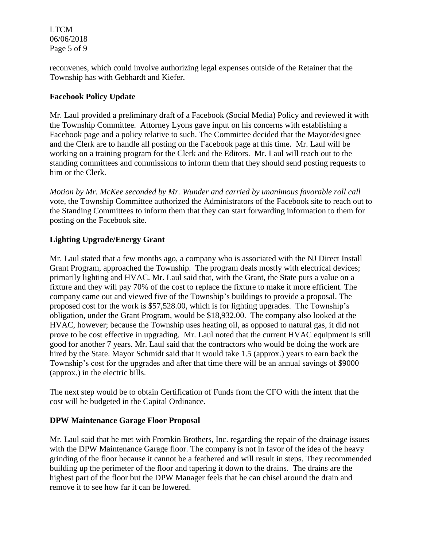LTCM 06/06/2018 Page 5 of 9

reconvenes, which could involve authorizing legal expenses outside of the Retainer that the Township has with Gebhardt and Kiefer.

## **Facebook Policy Update**

Mr. Laul provided a preliminary draft of a Facebook (Social Media) Policy and reviewed it with the Township Committee. Attorney Lyons gave input on his concerns with establishing a Facebook page and a policy relative to such. The Committee decided that the Mayor/designee and the Clerk are to handle all posting on the Facebook page at this time. Mr. Laul will be working on a training program for the Clerk and the Editors. Mr. Laul will reach out to the standing committees and commissions to inform them that they should send posting requests to him or the Clerk.

*Motion by Mr. McKee seconded by Mr. Wunder and carried by unanimous favorable roll call* vote*,* the Township Committee authorized the Administrators of the Facebook site to reach out to the Standing Committees to inform them that they can start forwarding information to them for posting on the Facebook site.

## **Lighting Upgrade/Energy Grant**

Mr. Laul stated that a few months ago, a company who is associated with the NJ Direct Install Grant Program, approached the Township. The program deals mostly with electrical devices; primarily lighting and HVAC. Mr. Laul said that, with the Grant, the State puts a value on a fixture and they will pay 70% of the cost to replace the fixture to make it more efficient. The company came out and viewed five of the Township's buildings to provide a proposal. The proposed cost for the work is \$57,528.00, which is for lighting upgrades. The Township's obligation, under the Grant Program, would be \$18,932.00. The company also looked at the HVAC, however; because the Township uses heating oil, as opposed to natural gas, it did not prove to be cost effective in upgrading. Mr. Laul noted that the current HVAC equipment is still good for another 7 years. Mr. Laul said that the contractors who would be doing the work are hired by the State. Mayor Schmidt said that it would take 1.5 (approx.) years to earn back the Township's cost for the upgrades and after that time there will be an annual savings of \$9000 (approx.) in the electric bills.

The next step would be to obtain Certification of Funds from the CFO with the intent that the cost will be budgeted in the Capital Ordinance.

## **DPW Maintenance Garage Floor Proposal**

Mr. Laul said that he met with Fromkin Brothers, Inc. regarding the repair of the drainage issues with the DPW Maintenance Garage floor. The company is not in favor of the idea of the heavy grinding of the floor because it cannot be a feathered and will result in steps. They recommended building up the perimeter of the floor and tapering it down to the drains. The drains are the highest part of the floor but the DPW Manager feels that he can chisel around the drain and remove it to see how far it can be lowered.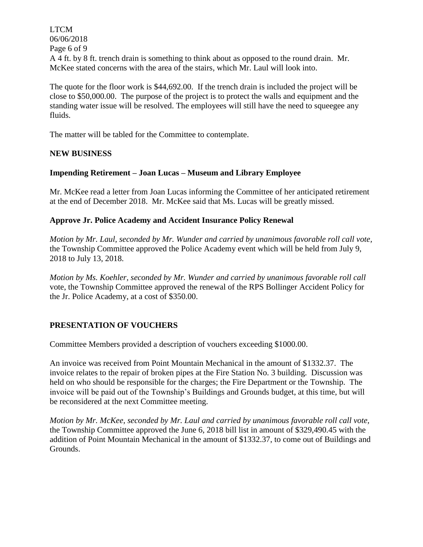LTCM 06/06/2018 Page 6 of 9 A 4 ft. by 8 ft. trench drain is something to think about as opposed to the round drain. Mr. McKee stated concerns with the area of the stairs, which Mr. Laul will look into.

The quote for the floor work is \$44,692.00. If the trench drain is included the project will be close to \$50,000.00. The purpose of the project is to protect the walls and equipment and the standing water issue will be resolved. The employees will still have the need to squeegee any fluids.

The matter will be tabled for the Committee to contemplate.

## **NEW BUSINESS**

### **Impending Retirement – Joan Lucas – Museum and Library Employee**

Mr. McKee read a letter from Joan Lucas informing the Committee of her anticipated retirement at the end of December 2018. Mr. McKee said that Ms. Lucas will be greatly missed.

### **Approve Jr. Police Academy and Accident Insurance Policy Renewal**

*Motion by Mr. Laul, seconded by Mr. Wunder and carried by unanimous favorable roll call vote,*  the Township Committee approved the Police Academy event which will be held from July 9, 2018 to July 13, 2018.

*Motion by Ms. Koehler, seconded by Mr. Wunder and carried by unanimous favorable roll call*  vote, the Township Committee approved the renewal of the RPS Bollinger Accident Policy for the Jr. Police Academy, at a cost of \$350.00.

## **PRESENTATION OF VOUCHERS**

Committee Members provided a description of vouchers exceeding \$1000.00.

An invoice was received from Point Mountain Mechanical in the amount of \$1332.37. The invoice relates to the repair of broken pipes at the Fire Station No. 3 building. Discussion was held on who should be responsible for the charges; the Fire Department or the Township. The invoice will be paid out of the Township's Buildings and Grounds budget, at this time, but will be reconsidered at the next Committee meeting.

*Motion by Mr. McKee, seconded by Mr. Laul and carried by unanimous favorable roll call vote,* the Township Committee approved the June 6, 2018 bill list in amount of \$329,490.45 with the addition of Point Mountain Mechanical in the amount of \$1332.37, to come out of Buildings and Grounds.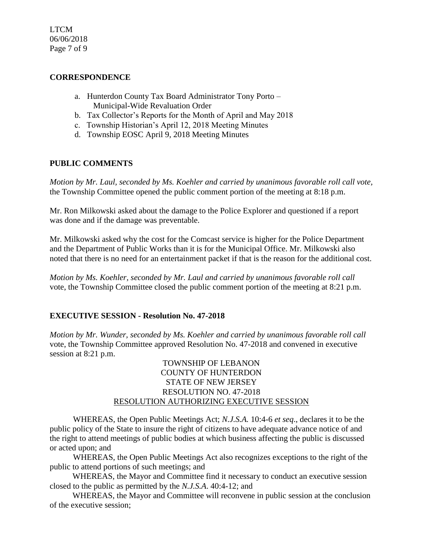LTCM 06/06/2018 Page 7 of 9

### **CORRESPONDENCE**

- a. Hunterdon County Tax Board Administrator Tony Porto Municipal-Wide Revaluation Order
- b. Tax Collector's Reports for the Month of April and May 2018
- c. Township Historian's April 12, 2018 Meeting Minutes
- d. Township EOSC April 9, 2018 Meeting Minutes

## **PUBLIC COMMENTS**

*Motion by Mr. Laul, seconded by Ms. Koehler and carried by unanimous favorable roll call vote,* the Township Committee opened the public comment portion of the meeting at 8:18 p.m.

Mr. Ron Milkowski asked about the damage to the Police Explorer and questioned if a report was done and if the damage was preventable.

Mr. Milkowski asked why the cost for the Comcast service is higher for the Police Department and the Department of Public Works than it is for the Municipal Office. Mr. Milkowski also noted that there is no need for an entertainment packet if that is the reason for the additional cost.

*Motion by Ms. Koehler, seconded by Mr. Laul and carried by unanimous favorable roll call*  vote, the Township Committee closed the public comment portion of the meeting at 8:21 p.m.

## **EXECUTIVE SESSION - Resolution No. 47-2018**

*Motion by Mr. Wunder, seconded by Ms. Koehler and carried by unanimous favorable roll call*  vote, the Township Committee approved Resolution No. 47-2018 and convened in executive session at 8:21 p.m.

### TOWNSHIP OF LEBANON COUNTY OF HUNTERDON STATE OF NEW JERSEY RESOLUTION NO. 47-2018 RESOLUTION AUTHORIZING EXECUTIVE SESSION

WHEREAS, the Open Public Meetings Act; *N.J.S.A.* 10:4-6 *et seq*., declares it to be the public policy of the State to insure the right of citizens to have adequate advance notice of and the right to attend meetings of public bodies at which business affecting the public is discussed or acted upon; and

WHEREAS, the Open Public Meetings Act also recognizes exceptions to the right of the public to attend portions of such meetings; and

 WHEREAS, the Mayor and Committee find it necessary to conduct an executive session closed to the public as permitted by the *N.J.S.A*. 40:4-12; and

 WHEREAS, the Mayor and Committee will reconvene in public session at the conclusion of the executive session;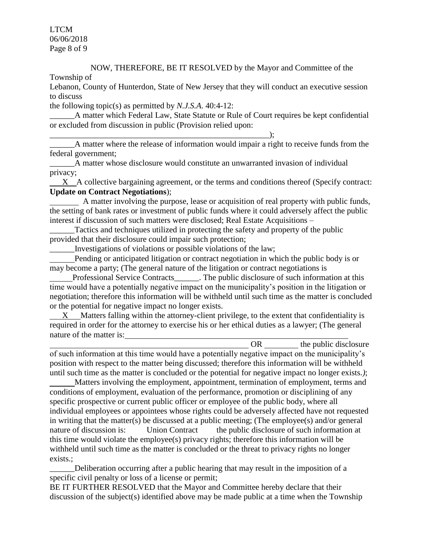LTCM 06/06/2018 Page 8 of 9

# NOW, THEREFORE, BE IT RESOLVED by the Mayor and Committee of the

Township of

Lebanon, County of Hunterdon, State of New Jersey that they will conduct an executive session to discuss

the following topic(s) as permitted by *N.J.S.A*. 40:4-12:

A matter which Federal Law, State Statute or Rule of Court requires be kept confidential or excluded from discussion in public (Provision relied upon:

 $\qquad \qquad ; \qquad$ 

A matter where the release of information would impair a right to receive funds from the federal government;

\_\_\_\_\_\_A matter whose disclosure would constitute an unwarranted invasion of individual privacy;

X A collective bargaining agreement, or the terms and conditions thereof (Specify contract: **Update on Contract Negotiations**);

 A matter involving the purpose, lease or acquisition of real property with public funds, the setting of bank rates or investment of public funds where it could adversely affect the public interest if discussion of such matters were disclosed; Real Estate Acquisitions –

Tactics and techniques utilized in protecting the safety and property of the public provided that their disclosure could impair such protection;

\_\_\_\_\_\_Investigations of violations or possible violations of the law;

 Pending or anticipated litigation or contract negotiation in which the public body is or may become a party; (The general nature of the litigation or contract negotiations is

Professional Service Contracts The public disclosure of such information at this time would have a potentially negative impact on the municipality's position in the litigation or negotiation; therefore this information will be withheld until such time as the matter is concluded or the potential for negative impact no longer exists.

 X Matters falling within the attorney-client privilege, to the extent that confidentiality is required in order for the attorney to exercise his or her ethical duties as a lawyer; (The general nature of the matter is:

OR the public disclosure

of such information at this time would have a potentially negative impact on the municipality's position with respect to the matter being discussed; therefore this information will be withheld until such time as the matter is concluded or the potential for negative impact no longer exists.*)*;

 Matters involving the employment, appointment, termination of employment, terms and conditions of employment, evaluation of the performance, promotion or disciplining of any specific prospective or current public officer or employee of the public body, where all individual employees or appointees whose rights could be adversely affected have not requested in writing that the matter(s) be discussed at a public meeting; (The employee(s) and/or general nature of discussion is: Union Contractthe public disclosure of such information at this time would violate the employee(s) privacy rights; therefore this information will be withheld until such time as the matter is concluded or the threat to privacy rights no longer exists.;

Deliberation occurring after a public hearing that may result in the imposition of a specific civil penalty or loss of a license or permit;

BE IT FURTHER RESOLVED that the Mayor and Committee hereby declare that their discussion of the subject(s) identified above may be made public at a time when the Township